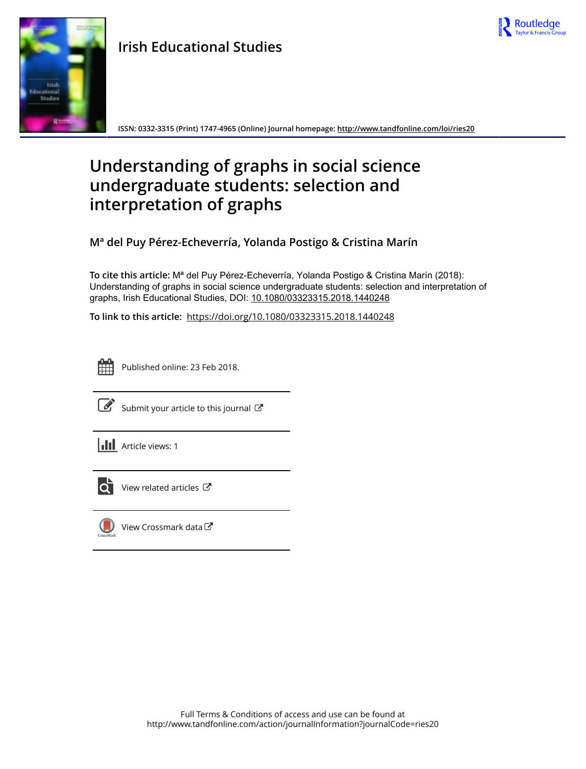

## **Irish Educational Studies**



**ISSN: 0332-3315 (Print) 1747-4965 (Online) Journal homepage:<http://www.tandfonline.com/loi/ries20>**

## **Understanding of graphs in social science undergraduate students: selection and interpretation of graphs**

**Mª del Puy Pérez-Echeverría, Yolanda Postigo & Cristina Marín**

**To cite this article:** Mª del Puy Pérez-Echeverría, Yolanda Postigo & Cristina Marín (2018): Understanding of graphs in social science undergraduate students: selection and interpretation of graphs, Irish Educational Studies, DOI: [10.1080/03323315.2018.1440248](http://www.tandfonline.com/action/showCitFormats?doi=10.1080/03323315.2018.1440248)

**To link to this article:** <https://doi.org/10.1080/03323315.2018.1440248>



Published online: 23 Feb 2018.



 $\overrightarrow{S}$  [Submit your article to this journal](http://www.tandfonline.com/action/authorSubmission?journalCode=ries20&show=instructions)  $\overrightarrow{S}$ 





 $\overline{\mathbf{C}}$  [View related articles](http://www.tandfonline.com/doi/mlt/10.1080/03323315.2018.1440248)  $\mathbf{C}$ 



 $\bigcup$  [View Crossmark data](http://crossmark.crossref.org/dialog/?doi=10.1080/03323315.2018.1440248&domain=pdf&date_stamp=2018-02-23) $\mathbb{Z}$